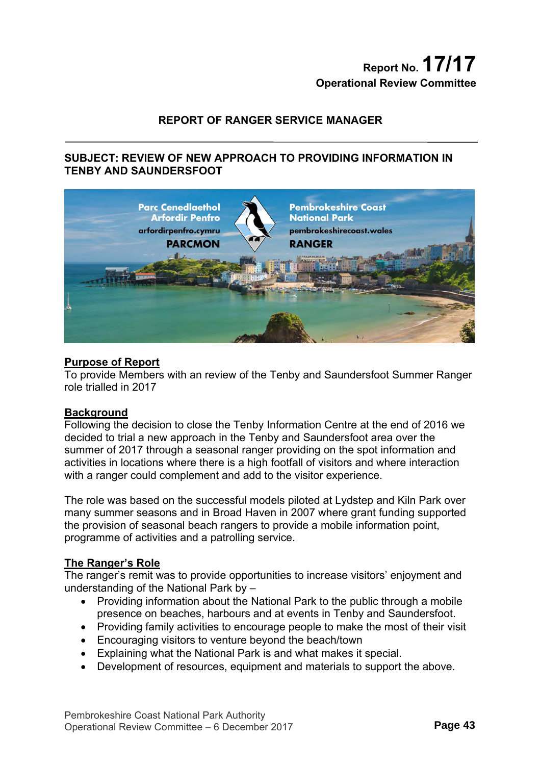# **Report No. 17/17 Operational Review Committee**

## **REPORT OF RANGER SERVICE MANAGER**

## **SUBJECT: REVIEW OF NEW APPROACH TO PROVIDING INFORMATION IN TENBY AND SAUNDERSFOOT**



#### **Purpose of Report**

To provide Members with an review of the Tenby and Saundersfoot Summer Ranger role trialled in 2017

#### **Background**

Following the decision to close the Tenby Information Centre at the end of 2016 we decided to trial a new approach in the Tenby and Saundersfoot area over the summer of 2017 through a seasonal ranger providing on the spot information and activities in locations where there is a high footfall of visitors and where interaction with a ranger could complement and add to the visitor experience.

The role was based on the successful models piloted at Lydstep and Kiln Park over many summer seasons and in Broad Haven in 2007 where grant funding supported the provision of seasonal beach rangers to provide a mobile information point, programme of activities and a patrolling service.

#### **The Ranger's Role**

The ranger's remit was to provide opportunities to increase visitors' enjoyment and understanding of the National Park by –

- Providing information about the National Park to the public through a mobile presence on beaches, harbours and at events in Tenby and Saundersfoot.
- Providing family activities to encourage people to make the most of their visit
- Encouraging visitors to venture beyond the beach/town
- Explaining what the National Park is and what makes it special.
- Development of resources, equipment and materials to support the above.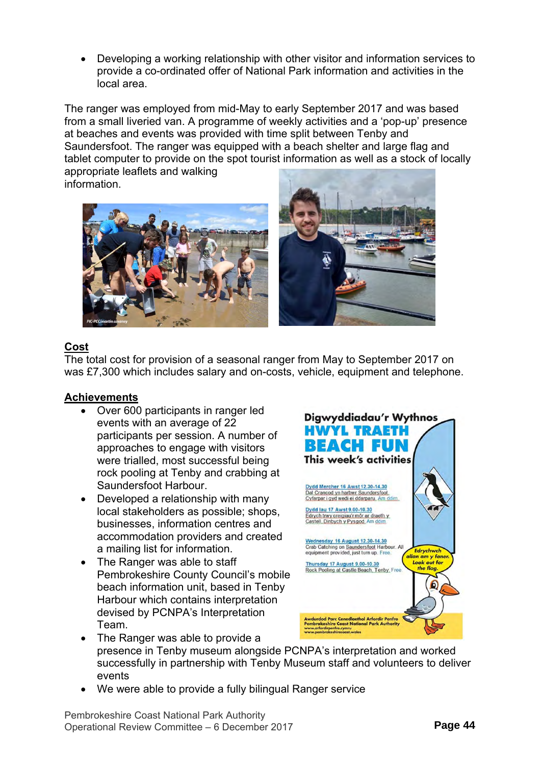Developing a working relationship with other visitor and information services to provide a co-ordinated offer of National Park information and activities in the local area.

The ranger was employed from mid-May to early September 2017 and was based from a small liveried van. A programme of weekly activities and a 'pop-up' presence at beaches and events was provided with time split between Tenby and Saundersfoot. The ranger was equipped with a beach shelter and large flag and tablet computer to provide on the spot tourist information as well as a stock of locally appropriate leaflets and walking





# **Cost**

The total cost for provision of a seasonal ranger from May to September 2017 on was £7,300 which includes salary and on-costs, vehicle, equipment and telephone.

# **Achievements**

- Over 600 participants in ranger led events with an average of 22 participants per session. A number of approaches to engage with visitors were trialled, most successful being rock pooling at Tenby and crabbing at Saundersfoot Harbour.
- Developed a relationship with many local stakeholders as possible; shops, businesses, information centres and accommodation providers and created a mailing list for information.
- The Ranger was able to staff Pembrokeshire County Council's mobile beach information unit, based in Tenby Harbour which contains interpretation devised by PCNPA's Interpretation Team.



- The Ranger was able to provide a presence in Tenby museum alongside PCNPA's interpretation and worked successfully in partnership with Tenby Museum staff and volunteers to deliver events
- We were able to provide a fully bilingual Ranger service

Pembrokeshire Coast National Park Authority Operational Review Committee – 6 December 2017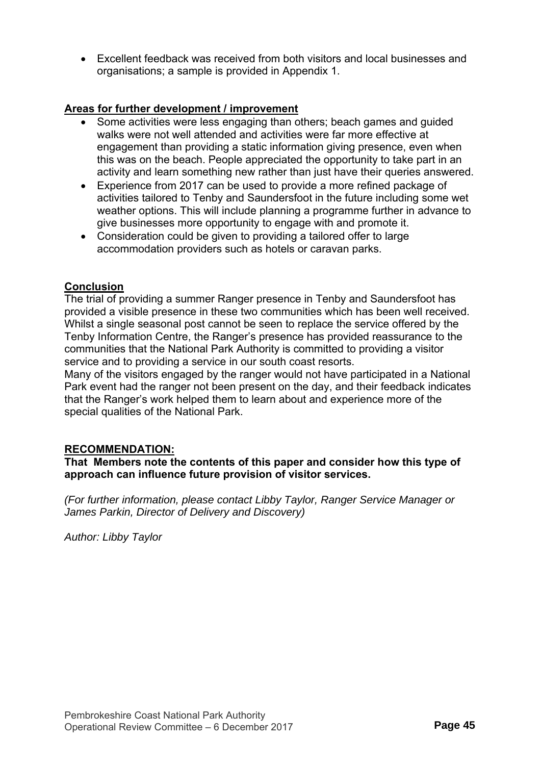Excellent feedback was received from both visitors and local businesses and organisations; a sample is provided in Appendix 1.

# **Areas for further development / improvement**

- Some activities were less engaging than others; beach games and guided walks were not well attended and activities were far more effective at engagement than providing a static information giving presence, even when this was on the beach. People appreciated the opportunity to take part in an activity and learn something new rather than just have their queries answered.
- Experience from 2017 can be used to provide a more refined package of activities tailored to Tenby and Saundersfoot in the future including some wet weather options. This will include planning a programme further in advance to give businesses more opportunity to engage with and promote it.
- Consideration could be given to providing a tailored offer to large accommodation providers such as hotels or caravan parks.

# **Conclusion**

The trial of providing a summer Ranger presence in Tenby and Saundersfoot has provided a visible presence in these two communities which has been well received. Whilst a single seasonal post cannot be seen to replace the service offered by the Tenby Information Centre, the Ranger's presence has provided reassurance to the communities that the National Park Authority is committed to providing a visitor service and to providing a service in our south coast resorts.

Many of the visitors engaged by the ranger would not have participated in a National Park event had the ranger not been present on the day, and their feedback indicates that the Ranger's work helped them to learn about and experience more of the special qualities of the National Park.

## **RECOMMENDATION:**

**That Members note the contents of this paper and consider how this type of approach can influence future provision of visitor services.**

*(For further information, please contact Libby Taylor, Ranger Service Manager or James Parkin, Director of Delivery and Discovery)* 

*Author: Libby Taylor*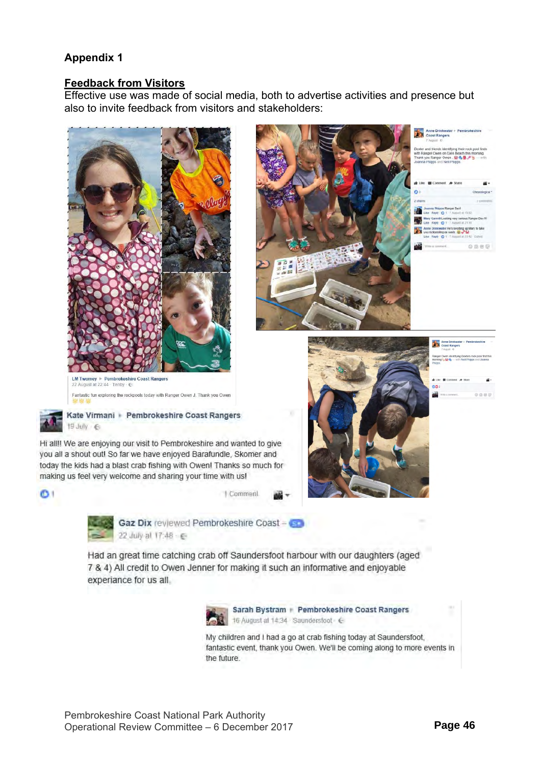# **Appendix 1**

## **Feedback from Visitors**

Effective use was made of social media, both to advertise activities and presence but also to invite feedback from visitors and stakeholders:







Hi all!! We are enjoying our visit to Pembrokeshire and wanted to give you all a shout out! So far we have enjoyed Barafundle, Skomer and today the kids had a blast crab fishing with Owen! Thanks so much for making us feel very welcome and sharing your time with us!





 $\bullet$ 

Gaz Dix reviewed Pembrokeshire Coast - G 22 July al 17:48 - 6

Had an great time catching crab off Saundersfoot harbour with our daughters (aged 7 & 4) All credit to Owen Jenner for making it such an informative and enjoyable experiance for us all.



My children and I had a go at crab fishing today at Saundersfoot, fantastic event, thank you Owen. We'll be coming along to more events in the future.







|              | Anne Drinkwater + Pembrokeshire<br><b>Coast Rangers</b><br>7 August - G                              |  |     |
|--------------|------------------------------------------------------------------------------------------------------|--|-----|
| vipos.       | anger Owen identitying Dexters rock pool find this<br>orning to the dy - with Neil Phipps and Joanna |  |     |
| $\mathbf{D}$ | Like <b>III</b> Comment & Share                                                                      |  |     |
|              | Write a comment.                                                                                     |  | 向丽丽 |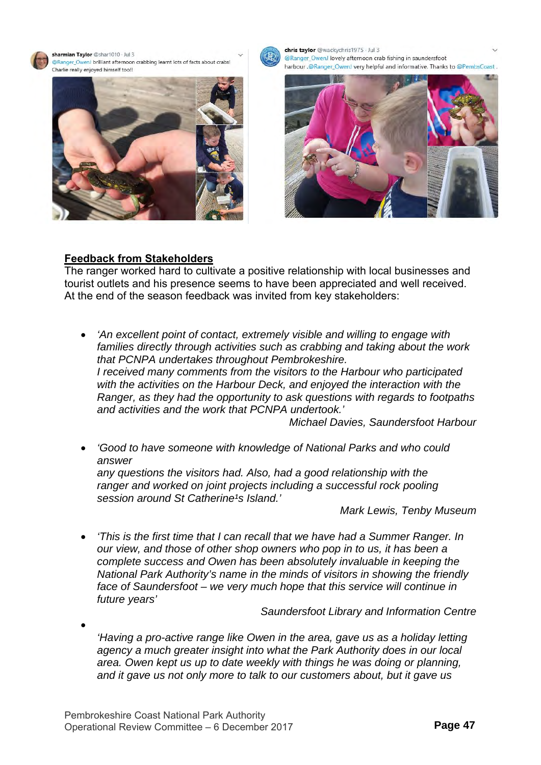sharmian Taylor @shar1010 · Jul 3 @Ranger OwenJ brilliant afternoon crabbing learnt lots of facts about crabs! Charlie really enjoyed himself too!





chris taylor @wackychris1975 · Jul 3 @Ranger\_OwenJ lovely afternoon crab fishing in saundersfoot harbour .@Ranger\_OwenJ very helpful and informative. Thanks to @PembsCoast.



## **Feedback from Stakeholders**

The ranger worked hard to cultivate a positive relationship with local businesses and tourist outlets and his presence seems to have been appreciated and well received. At the end of the season feedback was invited from key stakeholders:

 *'An excellent point of contact, extremely visible and willing to engage with families directly through activities such as crabbing and taking about the work that PCNPA undertakes throughout Pembrokeshire. I received many comments from the visitors to the Harbour who participated with the activities on the Harbour Deck, and enjoyed the interaction with the Ranger, as they had the opportunity to ask questions with regards to footpaths and activities and the work that PCNPA undertook.' Michael Davies, Saundersfoot Harbour* 

 *'Good to have someone with knowledge of National Parks and who could answer any questions the visitors had. Also, had a good relationship with the ranger and worked on joint projects including a successful rock pooling* 

session around St Catherine<sup>1</sup>s Island.'

*Mark Lewis, Tenby Museum* 

 *'This is the first time that I can recall that we have had a Summer Ranger. In our view, and those of other shop owners who pop in to us, it has been a complete success and Owen has been absolutely invaluable in keeping the National Park Authority's name in the minds of visitors in showing the friendly face of Saundersfoot – we very much hope that this service will continue in future years'* 

*Saundersfoot Library and Information Centre* 

 $\bullet$ *'Having a pro-active range like Owen in the area, gave us as a holiday letting agency a much greater insight into what the Park Authority does in our local area. Owen kept us up to date weekly with things he was doing or planning, and it gave us not only more to talk to our customers about, but it gave us*